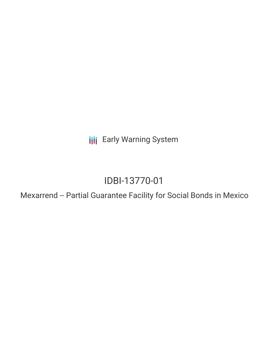**III** Early Warning System

# IDBI-13770-01

Mexarrend -- Partial Guarantee Facility for Social Bonds in Mexico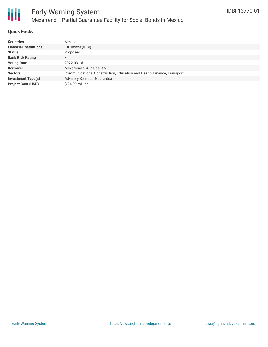

#### **Quick Facts**

| <b>Countries</b>              | Mexico                                                                 |
|-------------------------------|------------------------------------------------------------------------|
| <b>Financial Institutions</b> | IDB Invest (IDBI)                                                      |
| <b>Status</b>                 | Proposed                                                               |
| <b>Bank Risk Rating</b>       | FI                                                                     |
| <b>Voting Date</b>            | 2022-03-15                                                             |
| <b>Borrower</b>               | Mexarrend S.A.P.I. de C.V.                                             |
| <b>Sectors</b>                | Communications, Construction, Education and Health, Finance, Transport |
| <b>Investment Type(s)</b>     | <b>Advisory Services, Guarantee</b>                                    |
| <b>Project Cost (USD)</b>     | $$24.00$ million                                                       |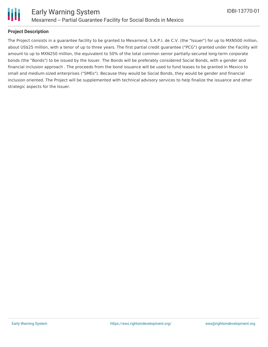

#### **Project Description**

The Project consists in a guarantee facility to be granted to Mexarrend, S.A.P.I. de C.V. (the "Issuer") for up to MXN500 million, about US\$25 million, with a tenor of up to three years. The first partial credit guarantee ("PCG") granted under the Facility will amount to up to MXN250 million, the equivalent to 50% of the total common senior partially-secured long-term corporate bonds (the "Bonds") to be issued by the Issuer. The Bonds will be preferably considered Social Bonds, with a gender and financial inclusion approach . The proceeds from the bond issuance will be used to fund leases to be granted in Mexico to small and medium-sized enterprises ("SMEs"). Because they would be Social Bonds, they would be gender and financial inclusion oriented. The Project will be supplemented with technical advisory services to help finalize the issuance and other strategic aspects for the Issuer.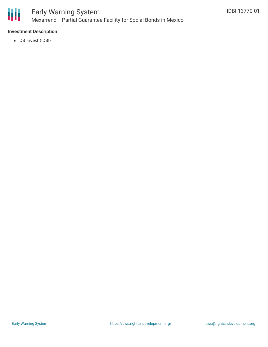

#### **Investment Description**

• IDB Invest (IDBI)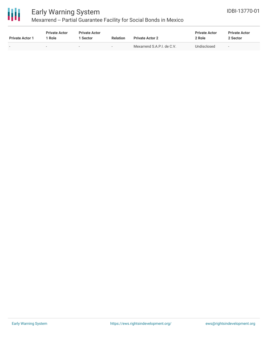

## Early Warning System

### Mexarrend -- Partial Guarantee Facility for Social Bonds in Mexico

| <b>Private Actor 1</b> | <b>Private Actor</b><br>' Role | <b>Private Actor</b><br>1 Sector | <b>Relation</b>          | <b>Private Actor 2</b>     | <b>Private Actor</b><br>2 Role | <b>Private Actor</b><br>2 Sector |  |
|------------------------|--------------------------------|----------------------------------|--------------------------|----------------------------|--------------------------------|----------------------------------|--|
|                        | $\overline{\phantom{0}}$       | $\sim$                           | $\overline{\phantom{0}}$ | Mexarrend S.A.P.I. de C.V. | Undisclosed                    | $\overline{\phantom{0}}$         |  |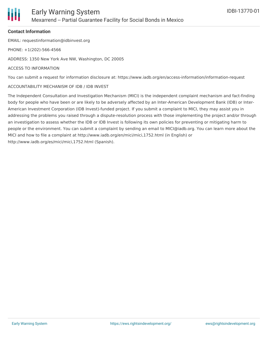

#### **Contact Information**

EMAIL: requestinformation@idbinvest.org

PHONE: +1(202)-566-4566

ADDRESS: 1350 New York Ave NW, Washington, DC 20005

#### ACCESS TO INFORMATION

You can submit a request for information disclosure at: https://www.iadb.org/en/access-information/information-request

#### ACCOUNTABILITY MECHANISM OF IDB / IDB INVEST

The Independent Consultation and Investigation Mechanism (MICI) is the independent complaint mechanism and fact-finding body for people who have been or are likely to be adversely affected by an Inter-American Development Bank (IDB) or Inter-American Investment Corporation (IDB Invest)-funded project. If you submit a complaint to MICI, they may assist you in addressing the problems you raised through a dispute-resolution process with those implementing the project and/or through an investigation to assess whether the IDB or IDB Invest is following its own policies for preventing or mitigating harm to people or the environment. You can submit a complaint by sending an email to MICI@iadb.org. You can learn more about the MICI and how to file a complaint at http://www.iadb.org/en/mici/mici,1752.html (in English) or http://www.iadb.org/es/mici/mici,1752.html (Spanish).